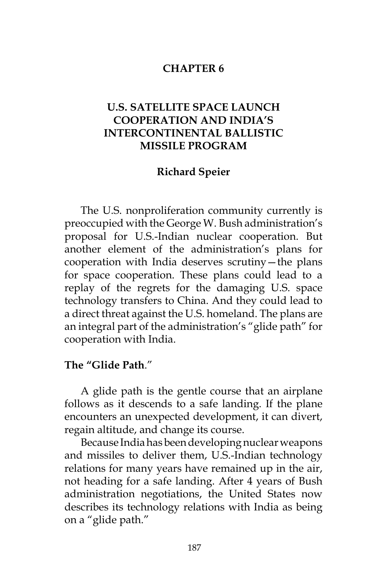### **CHAPTER 6**

# **U.S. SATELLITE SPACE LAUNCH COOPERATION AND INDIA'S INTERCONTINENTAL BALLISTIC MISSILE PROGRAM**

#### **Richard Speier**

The U.S. nonproliferation community currently is preoccupied with the George W. Bush administration's proposal for U.S.-Indian nuclear cooperation. But another element of the administration's plans for cooperation with India deserves scrutiny—the plans for space cooperation. These plans could lead to a replay of the regrets for the damaging U.S. space technology transfers to China. And they could lead to a direct threat against the U.S. homeland. The plans are an integral part of the administration's "glide path" for cooperation with India.

### **The "Glide Path**."

A glide path is the gentle course that an airplane follows as it descends to a safe landing. If the plane encounters an unexpected development, it can divert, regain altitude, and change its course.

Because India has been developing nuclear weapons and missiles to deliver them, U.S.-Indian technology relations for many years have remained up in the air, not heading for a safe landing. After 4 years of Bush administration negotiations, the United States now describes its technology relations with India as being on a "glide path."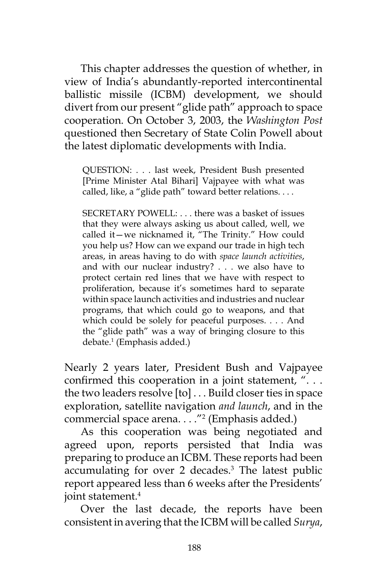This chapter addresses the question of whether, in view of India's abundantly-reported intercontinental ballistic missile (ICBM) development, we should divert from our present "glide path" approach to space cooperation. On October 3, 2003, the *Washington Post* questioned then Secretary of State Colin Powell about the latest diplomatic developments with India.

QUESTION: . . . last week, President Bush presented [Prime Minister Atal Bihari] Vajpayee with what was called, like, a "glide path" toward better relations. . . .

SECRETARY POWELL: . . . there was a basket of issues that they were always asking us about called, well, we called it—we nicknamed it, "The Trinity." How could you help us? How can we expand our trade in high tech areas, in areas having to do with *space launch activities*, and with our nuclear industry? . . . we also have to protect certain red lines that we have with respect to proliferation, because it's sometimes hard to separate within space launch activities and industries and nuclear programs, that which could go to weapons, and that which could be solely for peaceful purposes. . . . And the "glide path" was a way of bringing closure to this debate.1 (Emphasis added.)

Nearly 2 years later, President Bush and Vajpayee confirmed this cooperation in a joint statement, ". . . the two leaders resolve [to] . . . Build closer ties in space exploration, satellite navigation *and launch*, and in the commercial space arena. . . ."2 (Emphasis added.)

As this cooperation was being negotiated and agreed upon, reports persisted that India was preparing to produce an ICBM. These reports had been accumulating for over 2 decades.<sup>3</sup> The latest public report appeared less than 6 weeks after the Presidents' joint statement.<sup>4</sup>

Over the last decade, the reports have been consistent in avering that the ICBM will be called *Surya*,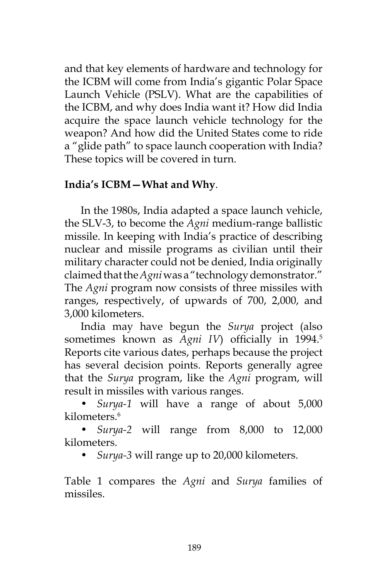and that key elements of hardware and technology for the ICBM will come from India's gigantic Polar Space Launch Vehicle (PSLV). What are the capabilities of the ICBM, and why does India want it? How did India acquire the space launch vehicle technology for the weapon? And how did the United States come to ride a "glide path" to space launch cooperation with India? These topics will be covered in turn.

### **India's ICBM—What and Why**.

In the 1980s, India adapted a space launch vehicle, the SLV-3, to become the *Agni* medium-range ballistic missile. In keeping with India's practice of describing nuclear and missile programs as civilian until their military character could not be denied, India originally claimed that the *Agni* was a "technology demonstrator." The *Agni* program now consists of three missiles with ranges, respectively, of upwards of 700, 2,000, and 3,000 kilometers.

India may have begun the *Surya* project (also sometimes known as *Agni IV*) officially in 1994.<sup>5</sup> Reports cite various dates, perhaps because the project has several decision points. Reports generally agree that the *Surya* program, like the *Agni* program, will result in missiles with various ranges.

• *Surya-1* will have a range of about 5,000 kilometers.<sup>6</sup>

• *Surya-2* will range from 8,000 to 12,000 kilometers.

• *Surya-3* will range up to 20,000 kilometers.

Table 1 compares the *Agni* and *Surya* families of missiles.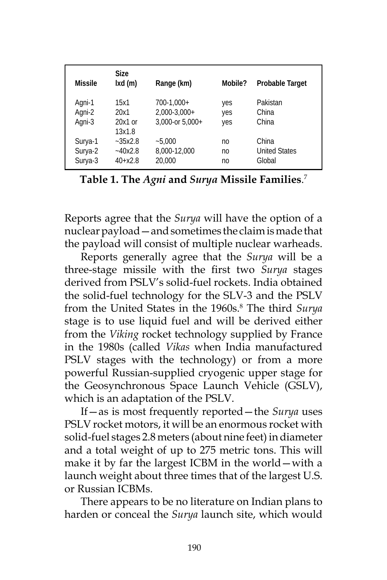| <b>Missile</b>                | <b>Size</b><br>lxd(m)               | Range (km)                                      | Mobile?           | <b>Probable Target</b>                  |
|-------------------------------|-------------------------------------|-------------------------------------------------|-------------------|-----------------------------------------|
| Agni-1<br>Agni-2<br>Agni-3    | 15x1<br>20x1<br>$20x1$ or<br>13x1.8 | 700-1,000+<br>$2,000-3,000+$<br>3.000-or 5.000+ | yes<br>yes<br>yes | Pakistan<br>China<br>China              |
| Surya-1<br>Surya-2<br>Surya-3 | $-35x2.8$<br>$-40x2.8$<br>$40+2.8$  | $-5.000$<br>8,000-12,000<br>20,000              | no<br>no<br>no    | China<br><b>United States</b><br>Global |

**Table 1. The** *Agni* **and** *Surya* **Missile Families**. 7

Reports agree that the *Surya* will have the option of a nuclear payload—and sometimes the claim is made that the payload will consist of multiple nuclear warheads.

Reports generally agree that the *Surya* will be a three-stage missile with the first two *Surya* stages derived from PSLV's solid-fuel rockets. India obtained the solid-fuel technology for the SLV-3 and the PSLV from the United States in the 1960s.8 The third *Surya* stage is to use liquid fuel and will be derived either from the *Viking* rocket technology supplied by France in the 1980s (called *Vikas* when India manufactured PSLV stages with the technology) or from a more powerful Russian-supplied cryogenic upper stage for the Geosynchronous Space Launch Vehicle (GSLV), which is an adaptation of the PSLV.

If—as is most frequently reported—the *Surya* uses PSLV rocket motors, it will be an enormous rocket with solid-fuel stages 2.8 meters (about nine feet) in diameter and a total weight of up to 275 metric tons. This will make it by far the largest ICBM in the world—with a launch weight about three times that of the largest U.S. or Russian ICBMs.

There appears to be no literature on Indian plans to harden or conceal the *Surya* launch site, which would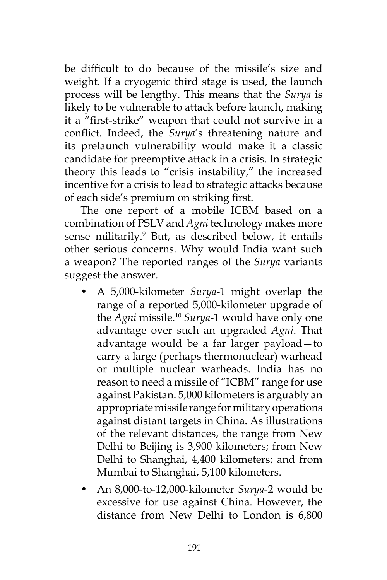be difficult to do because of the missile's size and weight. If a cryogenic third stage is used, the launch process will be lengthy. This means that the *Surya* is likely to be vulnerable to attack before launch, making it a "first-strike" weapon that could not survive in a conflict. Indeed, the *Surya*'s threatening nature and its prelaunch vulnerability would make it a classic candidate for preemptive attack in a crisis. In strategic theory this leads to "crisis instability," the increased incentive for a crisis to lead to strategic attacks because of each side's premium on striking first.

The one report of a mobile ICBM based on a combination of PSLV and *Agni* technology makes more sense militarily.<sup>9</sup> But, as described below, it entails other serious concerns. Why would India want such a weapon? The reported ranges of the *Surya* variants suggest the answer.

- A 5,000-kilometer *Surya*-1 might overlap the range of a reported 5,000-kilometer upgrade of the *Agni* missile.10 *Surya*-1 would have only one advantage over such an upgraded *Agni*. That advantage would be a far larger payload—to carry a large (perhaps thermonuclear) warhead or multiple nuclear warheads. India has no reason to need a missile of "ICBM" range for use against Pakistan. 5,000 kilometers is arguably an appropriate missile range for military operations against distant targets in China. As illustrations of the relevant distances, the range from New Delhi to Beijing is 3,900 kilometers; from New Delhi to Shanghai, 4,400 kilometers; and from Mumbai to Shanghai, 5,100 kilometers.
- An 8,000-to-12,000-kilometer *Surya*-2 would be excessive for use against China. However, the distance from New Delhi to London is 6,800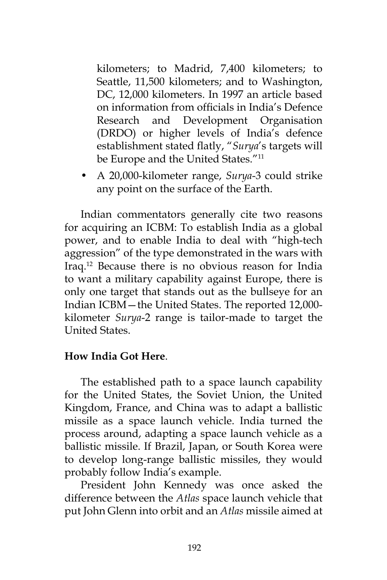kilometers; to Madrid, 7,400 kilometers; to Seattle, 11,500 kilometers; and to Washington, DC, 12,000 kilometers. In 1997 an article based on information from officials in India's Defence Research and Development Organisation (DRDO) or higher levels of India's defence establishment stated flatly, "*Surya*'s targets will be Europe and the United States."11

• A 20,000-kilometer range, *Surya*-3 could strike any point on the surface of the Earth.

Indian commentators generally cite two reasons for acquiring an ICBM: To establish India as a global power, and to enable India to deal with "high-tech aggression" of the type demonstrated in the wars with Iraq.12 Because there is no obvious reason for India to want a military capability against Europe, there is only one target that stands out as the bullseye for an Indian ICBM—the United States. The reported 12,000 kilometer *Surya*-2 range is tailor-made to target the United States.

## **How India Got Here**.

The established path to a space launch capability for the United States, the Soviet Union, the United Kingdom, France, and China was to adapt a ballistic missile as a space launch vehicle. India turned the process around, adapting a space launch vehicle as a ballistic missile. If Brazil, Japan, or South Korea were to develop long-range ballistic missiles, they would probably follow India's example.

President John Kennedy was once asked the difference between the *Atlas* space launch vehicle that put John Glenn into orbit and an *Atlas* missile aimed at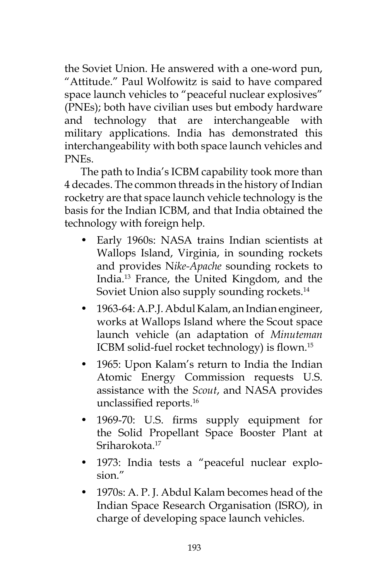the Soviet Union. He answered with a one-word pun, "Attitude." Paul Wolfowitz is said to have compared space launch vehicles to "peaceful nuclear explosives" (PNEs); both have civilian uses but embody hardware and technology that are interchangeable with military applications. India has demonstrated this interchangeability with both space launch vehicles and PNEs.

The path to India's ICBM capability took more than 4 decades. The common threads in the history of Indian rocketry are that space launch vehicle technology is the basis for the Indian ICBM, and that India obtained the technology with foreign help.

- Early 1960s: NASA trains Indian scientists at Wallops Island, Virginia, in sounding rockets and provides N*ike-Apache* sounding rockets to India.13 France, the United Kingdom, and the Soviet Union also supply sounding rockets.<sup>14</sup>
- 1963-64: A.P.J. Abdul Kalam, an Indian engineer, works at Wallops Island where the Scout space launch vehicle (an adaptation of *Minuteman* ICBM solid-fuel rocket technology) is flown.<sup>15</sup>
- 1965: Upon Kalam's return to India the Indian Atomic Energy Commission requests U.S. assistance with the *Scout*, and NASA provides unclassified reports.<sup>16</sup>
- 1969-70: U.S. firms supply equipment for the Solid Propellant Space Booster Plant at Sriharokota.17
- 1973: India tests a "peaceful nuclear explosion."
- 1970s: A. P. J. Abdul Kalam becomes head of the Indian Space Research Organisation (ISRO), in charge of developing space launch vehicles.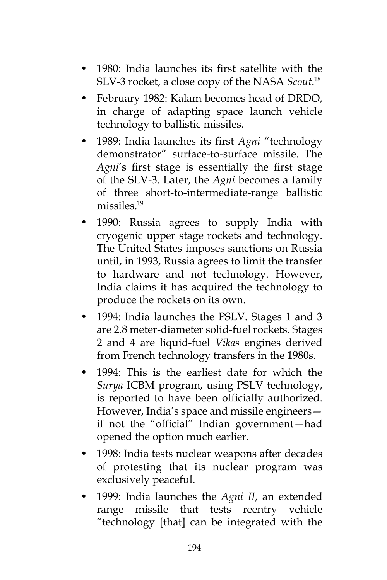- 1980: India launches its first satellite with the SLV-3 rocket, a close copy of the NASA *Scout*. 18
- February 1982: Kalam becomes head of DRDO, in charge of adapting space launch vehicle technology to ballistic missiles.
- 1989: India launches its first *Agni* "technology demonstrator" surface-to-surface missile. The *Agni*'s first stage is essentially the first stage of the SLV-3. Later, the *Agni* becomes a family of three short-to-intermediate-range ballistic missiles.19
- 1990: Russia agrees to supply India with cryogenic upper stage rockets and technology. The United States imposes sanctions on Russia until, in 1993, Russia agrees to limit the transfer to hardware and not technology. However, India claims it has acquired the technology to produce the rockets on its own.
- 1994: India launches the PSLV. Stages 1 and 3 are 2.8 meter-diameter solid-fuel rockets. Stages 2 and 4 are liquid-fuel *Vikas* engines derived from French technology transfers in the 1980s.
- 1994: This is the earliest date for which the *Surya* ICBM program, using PSLV technology, is reported to have been officially authorized. However, India's space and missile engineers if not the "official" Indian government—had opened the option much earlier.
- 1998: India tests nuclear weapons after decades of protesting that its nuclear program was exclusively peaceful.
- 1999: India launches the *Agni II*, an extended range missile that tests reentry vehicle "technology [that] can be integrated with the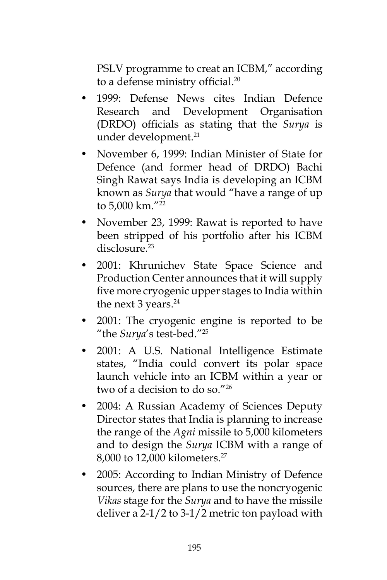PSLV programme to creat an ICBM," according to a defense ministry official.<sup>20</sup>

- 1999: Defense News cites Indian Defence Research and Development Organisation (DRDO) officials as stating that the *Surya* is under development.<sup>21</sup>
- November 6, 1999: Indian Minister of State for Defence (and former head of DRDO) Bachi Singh Rawat says India is developing an ICBM known as *Surya* that would "have a range of up to 5,000 km."<sup>22</sup>
- November 23, 1999: Rawat is reported to have been stripped of his portfolio after his ICBM disclosure.<sup>23</sup>
- 2001: Khrunichev State Space Science and Production Center announces that it will supply five more cryogenic upper stages to India within the next 3 years. $24$
- 2001: The cryogenic engine is reported to be "the *Surya*'s test-bed."25
- 2001: A U.S. National Intelligence Estimate states, "India could convert its polar space launch vehicle into an ICBM within a year or two of a decision to do so."26
- 2004: A Russian Academy of Sciences Deputy Director states that India is planning to increase the range of the *Agni* missile to 5,000 kilometers and to design the *Surya* ICBM with a range of 8,000 to 12,000 kilometers.27
- 2005: According to Indian Ministry of Defence sources, there are plans to use the noncryogenic *Vikas* stage for the *Surya* and to have the missile deliver a 2-1/2 to 3-1/2 metric ton payload with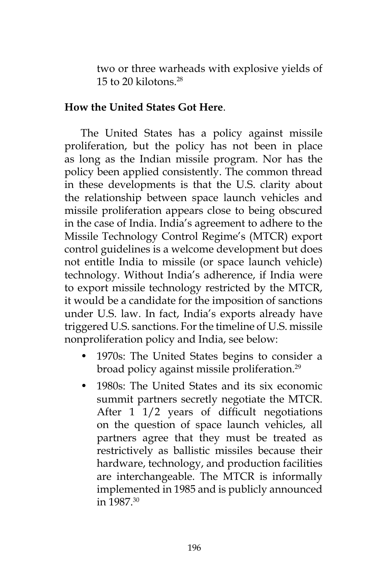two or three warheads with explosive yields of 15 to 20 kilotons. $28$ 

#### **How the United States Got Here**.

The United States has a policy against missile proliferation, but the policy has not been in place as long as the Indian missile program. Nor has the policy been applied consistently. The common thread in these developments is that the U.S. clarity about the relationship between space launch vehicles and missile proliferation appears close to being obscured in the case of India. India's agreement to adhere to the Missile Technology Control Regime's (MTCR) export control guidelines is a welcome development but does not entitle India to missile (or space launch vehicle) technology. Without India's adherence, if India were to export missile technology restricted by the MTCR, it would be a candidate for the imposition of sanctions under U.S. law. In fact, India's exports already have triggered U.S. sanctions. For the timeline of U.S. missile nonproliferation policy and India, see below:

- 1970s: The United States begins to consider a broad policy against missile proliferation.29
- 1980s: The United States and its six economic summit partners secretly negotiate the MTCR. After 1 1/2 years of difficult negotiations on the question of space launch vehicles, all partners agree that they must be treated as restrictively as ballistic missiles because their hardware, technology, and production facilities are interchangeable. The MTCR is informally implemented in 1985 and is publicly announced in 1987.30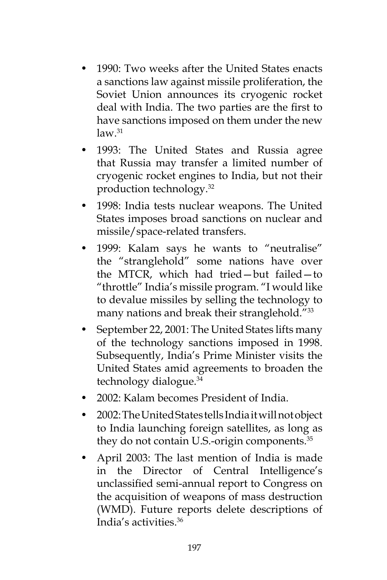- 1990: Two weeks after the United States enacts a sanctions law against missile proliferation, the Soviet Union announces its cryogenic rocket deal with India. The two parties are the first to have sanctions imposed on them under the new  $law.<sup>31</sup>$
- 1993: The United States and Russia agree that Russia may transfer a limited number of cryogenic rocket engines to India, but not their production technology.32
- 1998: India tests nuclear weapons. The United States imposes broad sanctions on nuclear and missile/space-related transfers.
- 1999: Kalam says he wants to "neutralise" the "stranglehold" some nations have over the MTCR, which had tried—but failed—to "throttle" India's missile program. "I would like to devalue missiles by selling the technology to many nations and break their stranglehold."<sup>33</sup>
- September 22, 2001: The United States lifts many of the technology sanctions imposed in 1998. Subsequently, India's Prime Minister visits the United States amid agreements to broaden the technology dialogue.34
- 2002: Kalam becomes President of India.
- 2002: The United States tells India it will not object to India launching foreign satellites, as long as they do not contain U.S.-origin components.<sup>35</sup>
- April 2003: The last mention of India is made in the Director of Central Intelligence's unclassified semi-annual report to Congress on the acquisition of weapons of mass destruction (WMD). Future reports delete descriptions of India's activities.36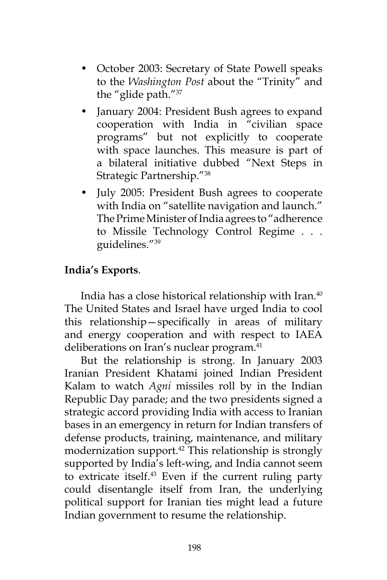- October 2003: Secretary of State Powell speaks to the *Washington Post* about the "Trinity" and the "glide path."37
- January 2004: President Bush agrees to expand cooperation with India in "civilian space programs" but not explicitly to cooperate with space launches. This measure is part of a bilateral initiative dubbed "Next Steps in Strategic Partnership."38
- July 2005: President Bush agrees to cooperate with India on "satellite navigation and launch." The Prime Minister of India agrees to "adherence to Missile Technology Control Regime . . . guidelines."39

# **India's Exports**.

India has a close historical relationship with Iran.40 The United States and Israel have urged India to cool this relationship—specifically in areas of military and energy cooperation and with respect to IAEA deliberations on Iran's nuclear program.<sup>41</sup>

But the relationship is strong. In January 2003 Iranian President Khatami joined Indian President Kalam to watch *Agni* missiles roll by in the Indian Republic Day parade; and the two presidents signed a strategic accord providing India with access to Iranian bases in an emergency in return for Indian transfers of defense products, training, maintenance, and military modernization support.<sup>42</sup> This relationship is strongly supported by India's left-wing, and India cannot seem to extricate itself.<sup>43</sup> Even if the current ruling party could disentangle itself from Iran, the underlying political support for Iranian ties might lead a future Indian government to resume the relationship.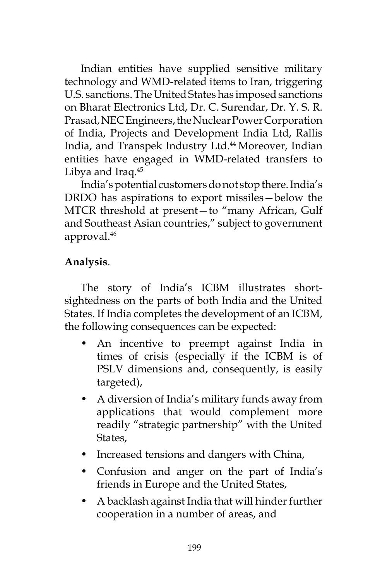Indian entities have supplied sensitive military technology and WMD-related items to Iran, triggering U.S. sanctions. The United States has imposed sanctions on Bharat Electronics Ltd, Dr. C. Surendar, Dr. Y. S. R. Prasad, NEC Engineers, the Nuclear Power Corporation of India, Projects and Development India Ltd, Rallis India, and Transpek Industry Ltd.44 Moreover, Indian entities have engaged in WMD-related transfers to Libya and Iraq.<sup>45</sup>

India's potential customers do not stop there. India's DRDO has aspirations to export missiles—below the MTCR threshold at present—to "many African, Gulf and Southeast Asian countries," subject to government approval.46

# **Analysis**.

The story of India's ICBM illustrates shortsightedness on the parts of both India and the United States. If India completes the development of an ICBM, the following consequences can be expected:

- An incentive to preempt against India in times of crisis (especially if the ICBM is of PSLV dimensions and, consequently, is easily targeted),
- A diversion of India's military funds away from applications that would complement more readily "strategic partnership" with the United States,
- Increased tensions and dangers with China,
- Confusion and anger on the part of India's friends in Europe and the United States,
- A backlash against India that will hinder further cooperation in a number of areas, and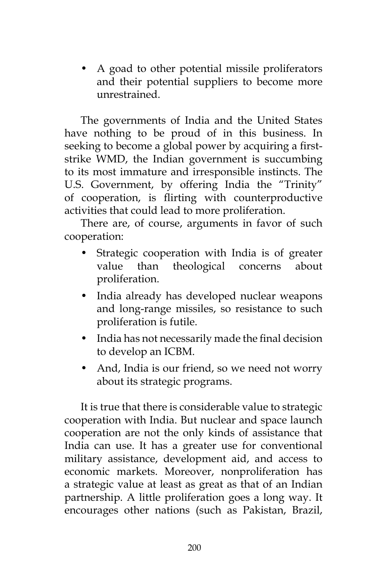• A goad to other potential missile proliferators and their potential suppliers to become more unrestrained.

The governments of India and the United States have nothing to be proud of in this business. In seeking to become a global power by acquiring a firststrike WMD, the Indian government is succumbing to its most immature and irresponsible instincts. The U.S. Government, by offering India the "Trinity" of cooperation, is flirting with counterproductive activities that could lead to more proliferation.

There are, of course, arguments in favor of such cooperation:

- Strategic cooperation with India is of greater value than theological concerns about proliferation.
- India already has developed nuclear weapons and long-range missiles, so resistance to such proliferation is futile.
- India has not necessarily made the final decision to develop an ICBM.
- And, India is our friend, so we need not worry about its strategic programs.

It is true that there is considerable value to strategic cooperation with India. But nuclear and space launch cooperation are not the only kinds of assistance that India can use. It has a greater use for conventional military assistance, development aid, and access to economic markets. Moreover, nonproliferation has a strategic value at least as great as that of an Indian partnership. A little proliferation goes a long way. It encourages other nations (such as Pakistan, Brazil,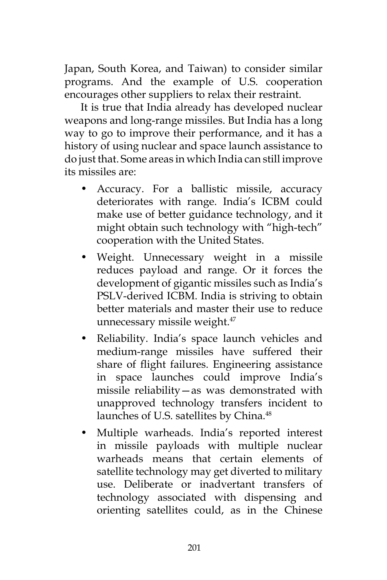Japan, South Korea, and Taiwan) to consider similar programs. And the example of U.S. cooperation encourages other suppliers to relax their restraint.

It is true that India already has developed nuclear weapons and long-range missiles. But India has a long way to go to improve their performance, and it has a history of using nuclear and space launch assistance to do just that. Some areas in which India can still improve its missiles are:

- Accuracy. For a ballistic missile, accuracy deteriorates with range. India's ICBM could make use of better guidance technology, and it might obtain such technology with "high-tech" cooperation with the United States.
- Weight. Unnecessary weight in a missile reduces payload and range. Or it forces the development of gigantic missiles such as India's PSLV-derived ICBM. India is striving to obtain better materials and master their use to reduce unnecessary missile weight.<sup>47</sup>
- Reliability. India's space launch vehicles and medium-range missiles have suffered their share of flight failures. Engineering assistance in space launches could improve India's missile reliability—as was demonstrated with unapproved technology transfers incident to launches of U.S. satellites by China.<sup>48</sup>
- Multiple warheads. India's reported interest in missile payloads with multiple nuclear warheads means that certain elements of satellite technology may get diverted to military use. Deliberate or inadvertant transfers of technology associated with dispensing and orienting satellites could, as in the Chinese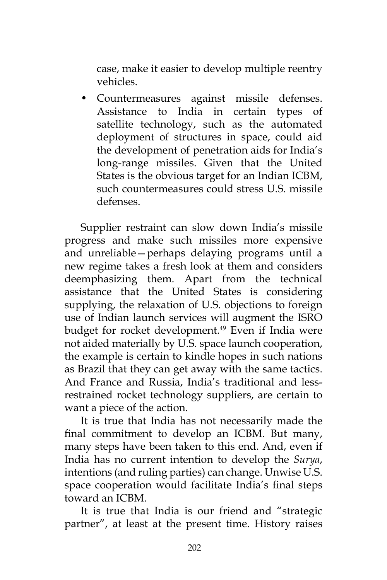case, make it easier to develop multiple reentry vehicles.

• Countermeasures against missile defenses. Assistance to India in certain types of satellite technology, such as the automated deployment of structures in space, could aid the development of penetration aids for India's long-range missiles. Given that the United States is the obvious target for an Indian ICBM, such countermeasures could stress U.S. missile defenses.

Supplier restraint can slow down India's missile progress and make such missiles more expensive and unreliable—perhaps delaying programs until a new regime takes a fresh look at them and considers deemphasizing them. Apart from the technical assistance that the United States is considering supplying, the relaxation of U.S. objections to foreign use of Indian launch services will augment the ISRO budget for rocket development.<sup>49</sup> Even if India were not aided materially by U.S. space launch cooperation, the example is certain to kindle hopes in such nations as Brazil that they can get away with the same tactics. And France and Russia, India's traditional and lessrestrained rocket technology suppliers, are certain to want a piece of the action.

It is true that India has not necessarily made the final commitment to develop an ICBM. But many, many steps have been taken to this end. And, even if India has no current intention to develop the *Surya*, intentions (and ruling parties) can change. Unwise U.S. space cooperation would facilitate India's final steps toward an ICBM.

It is true that India is our friend and "strategic partner", at least at the present time. History raises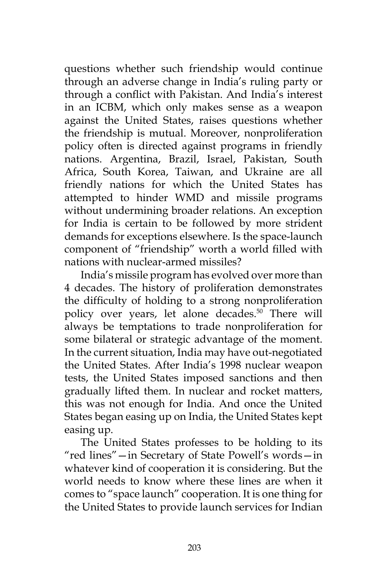questions whether such friendship would continue through an adverse change in India's ruling party or through a conflict with Pakistan. And India's interest in an ICBM, which only makes sense as a weapon against the United States, raises questions whether the friendship is mutual. Moreover, nonproliferation policy often is directed against programs in friendly nations. Argentina, Brazil, Israel, Pakistan, South Africa, South Korea, Taiwan, and Ukraine are all friendly nations for which the United States has attempted to hinder WMD and missile programs without undermining broader relations. An exception for India is certain to be followed by more strident demands for exceptions elsewhere. Is the space-launch component of "friendship" worth a world filled with nations with nuclear-armed missiles?

India's missile program has evolved over more than 4 decades. The history of proliferation demonstrates the difficulty of holding to a strong nonproliferation policy over years, let alone decades.<sup>50</sup> There will always be temptations to trade nonproliferation for some bilateral or strategic advantage of the moment. In the current situation, India may have out-negotiated the United States. After India's 1998 nuclear weapon tests, the United States imposed sanctions and then gradually lifted them. In nuclear and rocket matters, this was not enough for India. And once the United States began easing up on India, the United States kept easing up.

The United States professes to be holding to its "red lines"—in Secretary of State Powell's words—in whatever kind of cooperation it is considering. But the world needs to know where these lines are when it comes to "space launch" cooperation. It is one thing for the United States to provide launch services for Indian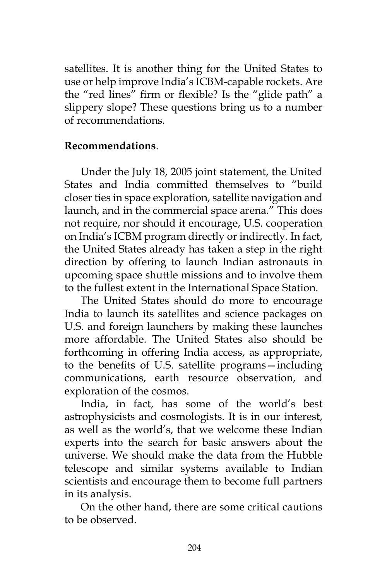satellites. It is another thing for the United States to use or help improve India's ICBM-capable rockets. Are the "red lines" firm or flexible? Is the "glide path" a slippery slope? These questions bring us to a number of recommendations.

## **Recommendations**.

Under the July 18, 2005 joint statement, the United States and India committed themselves to "build closer ties in space exploration, satellite navigation and launch, and in the commercial space arena." This does not require, nor should it encourage, U.S. cooperation on India's ICBM program directly or indirectly. In fact, the United States already has taken a step in the right direction by offering to launch Indian astronauts in upcoming space shuttle missions and to involve them to the fullest extent in the International Space Station.

The United States should do more to encourage India to launch its satellites and science packages on U.S. and foreign launchers by making these launches more affordable. The United States also should be forthcoming in offering India access, as appropriate, to the benefits of U.S. satellite programs—including communications, earth resource observation, and exploration of the cosmos.

India, in fact, has some of the world's best astrophysicists and cosmologists. It is in our interest, as well as the world's, that we welcome these Indian experts into the search for basic answers about the universe. We should make the data from the Hubble telescope and similar systems available to Indian scientists and encourage them to become full partners in its analysis.

On the other hand, there are some critical cautions to be observed.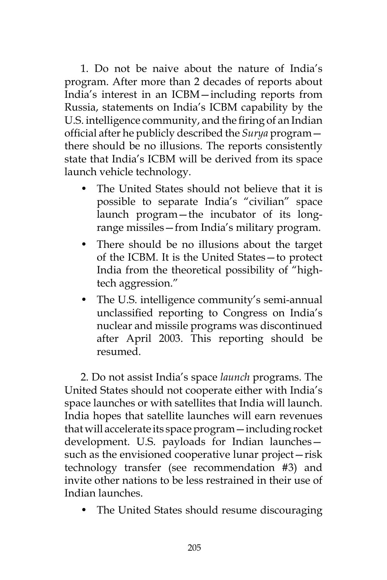1. Do not be naive about the nature of India's program. After more than 2 decades of reports about India's interest in an ICBM—including reports from Russia, statements on India's ICBM capability by the U.S. intelligence community, and the firing of an Indian official after he publicly described the *Surya* program there should be no illusions. The reports consistently state that India's ICBM will be derived from its space launch vehicle technology.

- The United States should not believe that it is possible to separate India's "civilian" space launch program—the incubator of its longrange missiles—from India's military program.
- There should be no illusions about the target of the ICBM. It is the United States—to protect India from the theoretical possibility of "hightech aggression."
- The U.S. intelligence community's semi-annual unclassified reporting to Congress on India's nuclear and missile programs was discontinued after April 2003. This reporting should be resumed.

2. Do not assist India's space *launch* programs. The United States should not cooperate either with India's space launches or with satellites that India will launch. India hopes that satellite launches will earn revenues that will accelerate its space program—including rocket development. U.S. payloads for Indian launches such as the envisioned cooperative lunar project—risk technology transfer (see recommendation #3) and invite other nations to be less restrained in their use of Indian launches.

The United States should resume discouraging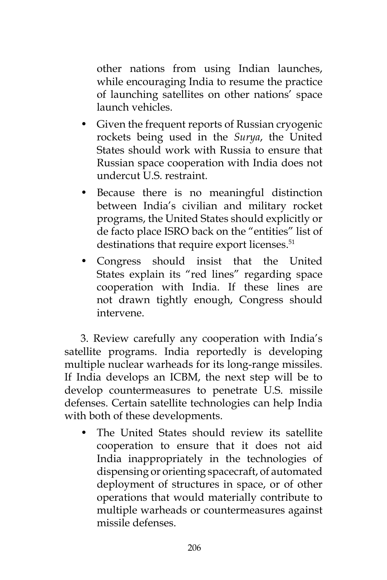other nations from using Indian launches, while encouraging India to resume the practice of launching satellites on other nations' space launch vehicles.

- Given the frequent reports of Russian cryogenic rockets being used in the *Surya*, the United States should work with Russia to ensure that Russian space cooperation with India does not undercut U.S. restraint.
- Because there is no meaningful distinction between India's civilian and military rocket programs, the United States should explicitly or de facto place ISRO back on the "entities" list of destinations that require export licenses.<sup>51</sup>
- Congress should insist that the United States explain its "red lines" regarding space cooperation with India. If these lines are not drawn tightly enough, Congress should intervene.

3. Review carefully any cooperation with India's satellite programs. India reportedly is developing multiple nuclear warheads for its long-range missiles. If India develops an ICBM, the next step will be to develop countermeasures to penetrate U.S. missile defenses. Certain satellite technologies can help India with both of these developments.

• The United States should review its satellite cooperation to ensure that it does not aid India inappropriately in the technologies of dispensing or orienting spacecraft, of automated deployment of structures in space, or of other operations that would materially contribute to multiple warheads or countermeasures against missile defenses.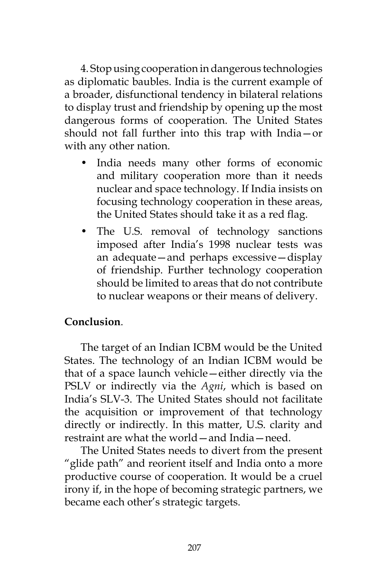4. Stop using cooperation in dangerous technologies as diplomatic baubles. India is the current example of a broader, disfunctional tendency in bilateral relations to display trust and friendship by opening up the most dangerous forms of cooperation. The United States should not fall further into this trap with India—or with any other nation.

- India needs many other forms of economic and military cooperation more than it needs nuclear and space technology. If India insists on focusing technology cooperation in these areas, the United States should take it as a red flag.
- The U.S. removal of technology sanctions imposed after India's 1998 nuclear tests was an adequate—and perhaps excessive—display of friendship. Further technology cooperation should be limited to areas that do not contribute to nuclear weapons or their means of delivery.

### **Conclusion**.

The target of an Indian ICBM would be the United States. The technology of an Indian ICBM would be that of a space launch vehicle—either directly via the PSLV or indirectly via the *Agni*, which is based on India's SLV-3. The United States should not facilitate the acquisition or improvement of that technology directly or indirectly. In this matter, U.S. clarity and restraint are what the world—and India—need.

The United States needs to divert from the present "glide path" and reorient itself and India onto a more productive course of cooperation. It would be a cruel irony if, in the hope of becoming strategic partners, we became each other's strategic targets.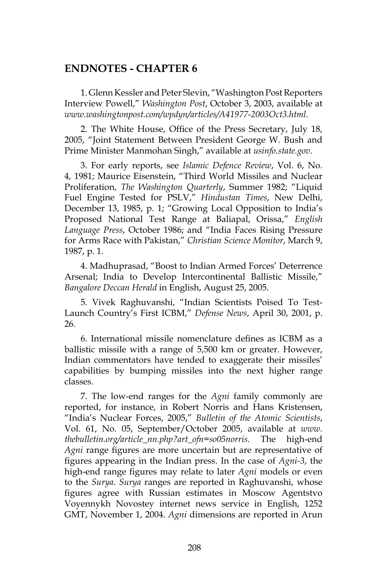### **ENDNOTES - CHAPTER 6**

1. Glenn Kessler and Peter Slevin, "Washington Post Reporters Interview Powell," *Washington Post*, October 3, 2003, available at *www.washingtonpost.com/wpdyn/articles/A41977-2003Oct3.html*.

2. The White House, Office of the Press Secretary, July 18, 2005, "Joint Statement Between President George W. Bush and Prime Minister Manmohan Singh," available at *usinfo.state.gov*.

3. For early reports, see *Islamic Defence Review*, Vol. 6, No. 4, 1981; Maurice Eisenstein, "Third World Missiles and Nuclear Proliferation, *The Washington Quarterly*, Summer 1982; "Liquid Fuel Engine Tested for PSLV," *Hindustan Times*, New Delhi, December 13, 1985, p. 1; "Growing Local Opposition to India's Proposed National Test Range at Baliapal, Orissa," *English Language Press*, October 1986; and "India Faces Rising Pressure for Arms Race with Pakistan," *Christian Science Monitor*, March 9, 1987, p. 1.

4. Madhuprasad, "Boost to Indian Armed Forces' Deterrence Arsenal; India to Develop Intercontinental Ballistic Missile," *Bangalore Deccan Herald* in English, August 25, 2005.

5. Vivek Raghuvanshi, "Indian Scientists Poised To Test-Launch Country's First ICBM," *Defense News*, April 30, 2001, p. 26.

6. International missile nomenclature defines as ICBM as a ballistic missile with a range of 5,500 km or greater. However, Indian commentators have tended to exaggerate their missiles' capabilities by bumping missiles into the next higher range classes.

7. The low-end ranges for the *Agni* family commonly are reported, for instance, in Robert Norris and Hans Kristensen, "India's Nuclear Forces, 2005," *Bulletin of the Atomic Scientists*, Vol. 61, No. 05, September/October 2005, available at *www. thebulletin.org/article\_nn.php?art\_ofn=so05norris*. The high-end *Agni* range figures are more uncertain but are representative of figures appearing in the Indian press. In the case of *Agni-3*, the high-end range figures may relate to later *Agni* models or even to the *Surya*. *Surya* ranges are reported in Raghuvanshi, whose figures agree with Russian estimates in Moscow Agentstvo Voyennykh Novostey internet news service in English, 1252 GMT, November 1, 2004. *Agni* dimensions are reported in Arun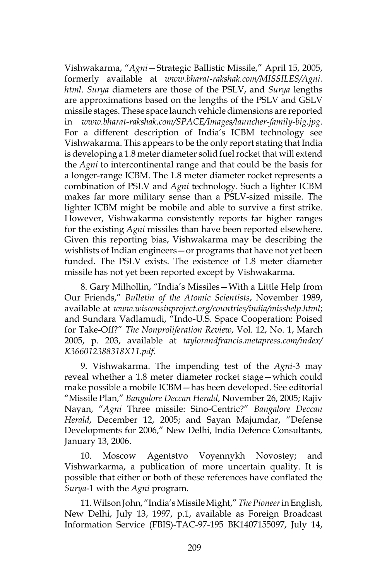Vishwakarma, "*Agni*—Strategic Ballistic Missile," April 15, 2005, formerly available at *www.bharat-rakshak.com/MISSILES/Agni. html*. *Surya* diameters are those of the PSLV, and *Surya* lengths are approximations based on the lengths of the PSLV and GSLV missile stages. These space launch vehicle dimensions are reported in *www.bharat-rakshak.com/SPACE/Images/launcher-family-big.jpg*. For a different description of India's ICBM technology see Vishwakarma. This appears to be the only report stating that India is developing a 1.8 meter diameter solid fuel rocket that will extend the *Agni* to intercontinental range and that could be the basis for a longer-range ICBM. The 1.8 meter diameter rocket represents a combination of PSLV and *Agni* technology. Such a lighter ICBM makes far more military sense than a PSLV-sized missile. The lighter ICBM might be mobile and able to survive a first strike. However, Vishwakarma consistently reports far higher ranges for the existing *Agni* missiles than have been reported elsewhere. Given this reporting bias, Vishwakarma may be describing the wishlists of Indian engineers—or programs that have not yet been funded. The PSLV exists. The existence of 1.8 meter diameter missile has not yet been reported except by Vishwakarma.

8. Gary Milhollin, "India's Missiles—With a Little Help from Our Friends," *Bulletin of the Atomic Scientists*, November 1989, available at *www.wisconsinproject.org/countries/india/misshelp.html*; and Sundara Vadlamudi, "Indo-U.S. Space Cooperation: Poised for Take-Off?" *The Nonproliferation Review*, Vol. 12, No. 1, March 2005, p. 203, available at *taylorandfrancis.metapress.com/index/ K366012388318X11.pdf*.

9. Vishwakarma. The impending test of the *Agni*-3 may reveal whether a 1.8 meter diameter rocket stage—which could make possible a mobile ICBM—has been developed. See editorial "Missile Plan," *Bangalore Deccan Herald*, November 26, 2005; Rajiv Nayan, "*Agni* Three missile: Sino-Centric?" *Bangalore Deccan Herald*, December 12, 2005; and Sayan Majumdar, "Defense Developments for 2006," New Delhi, India Defence Consultants, January 13, 2006.

10. Moscow Agentstvo Voyennykh Novostey; and Vishwarkarma, a publication of more uncertain quality. It is possible that either or both of these references have conflated the *Surya*-1 with the *Agni* program.

11. Wilson John, "India's Missile Might," *The Pioneer* in English, New Delhi, July 13, 1997, p.1, available as Foreign Broadcast Information Service (FBIS)-TAC-97-195 BK1407155097, July 14,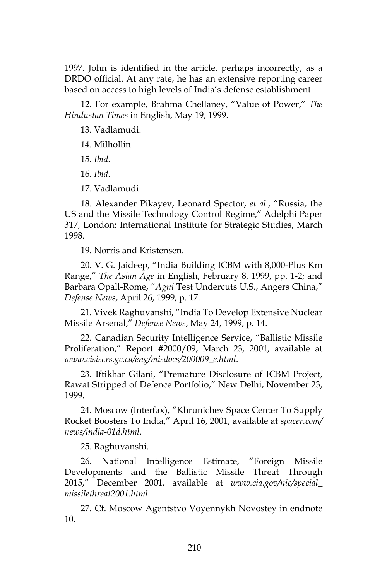1997. John is identified in the article, perhaps incorrectly, as a DRDO official. At any rate, he has an extensive reporting career based on access to high levels of India's defense establishment.

12. For example, Brahma Chellaney, "Value of Power," *The Hindustan Times* in English, May 19, 1999.

13. Vadlamudi.

14. Milhollin.

15. *Ibid*.

16. *Ibid*.

17. Vadlamudi.

18. Alexander Pikayev, Leonard Spector, *et al*., "Russia, the US and the Missile Technology Control Regime," Adelphi Paper 317, London: International Institute for Strategic Studies, March 1998.

19. Norris and Kristensen.

20. V. G. Jaideep, "India Building ICBM with 8,000-Plus Km Range," *The Asian Age* in English, February 8, 1999, pp. 1-2; and Barbara Opall-Rome, "*Agni* Test Undercuts U.S., Angers China," *Defense News*, April 26, 1999, p. 17.

21. Vivek Raghuvanshi, "India To Develop Extensive Nuclear Missile Arsenal," *Defense News*, May 24, 1999, p. 14.

22. Canadian Security Intelligence Service, "Ballistic Missile Proliferation," Report #2000/09, March 23, 2001, available at *www.cisiscrs.gc.ca/eng/misdocs/200009\_e.html*.

23. Iftikhar Gilani, "Premature Disclosure of ICBM Project, Rawat Stripped of Defence Portfolio," New Delhi, November 23, 1999.

24. Moscow (Interfax), "Khrunichev Space Center To Supply Rocket Boosters To India," April 16, 2001, available at *spacer.com/ news/india-01d.html*.

25. Raghuvanshi.

26. National Intelligence Estimate, "Foreign Missile Developments and the Ballistic Missile Threat Through 2015," December 2001, available at *www.cia.gov/nic/special\_ missilethreat2001.html*.

27. Cf. Moscow Agentstvo Voyennykh Novostey in endnote 10.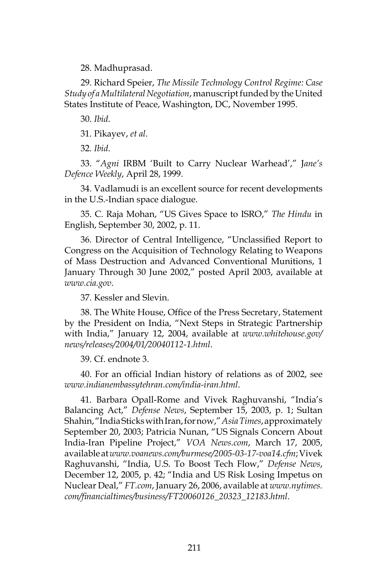28. Madhuprasad.

29. Richard Speier, *The Missile Technology Control Regime: Case Study of a Multilateral Negotiation*, manuscript funded by the United States Institute of Peace, Washington, DC, November 1995.

30. *Ibid*.

31. Pikayev, *et al*.

32. *Ibid*.

33. "*Agni* IRBM 'Built to Carry Nuclear Warhead'," J*ane's Defence Weekly*, April 28, 1999.

34. Vadlamudi is an excellent source for recent developments in the U.S.-Indian space dialogue.

35. C. Raja Mohan, "US Gives Space to ISRO," *The Hindu* in English, September 30, 2002, p. 11.

36. Director of Central Intelligence, "Unclassified Report to Congress on the Acquisition of Technology Relating to Weapons of Mass Destruction and Advanced Conventional Munitions, 1 January Through 30 June 2002," posted April 2003, available at *www.cia.gov*.

37. Kessler and Slevin.

38. The White House, Office of the Press Secretary, Statement by the President on India, "Next Steps in Strategic Partnership with India," January 12, 2004, available at *www.whitehouse.gov/ news/releases/2004/01/20040112-1.html*.

39. Cf. endnote 3.

40. For an official Indian history of relations as of 2002, see *www.indianembassytehran.com/india-iran.html*.

41. Barbara Opall-Rome and Vivek Raghuvanshi, "India's Balancing Act," *Defense News*, September 15, 2003, p. 1; Sultan Shahin, "India Sticks with Iran, for now," *Asia Times*, approximately September 20, 2003; Patricia Nunan, "US Signals Concern About India-Iran Pipeline Project," *VOA News.com*, March 17, 2005, available at *www.voanews.com/burmese/2005-03-17-voa14.cfm*; Vivek Raghuvanshi, "India, U.S. To Boost Tech Flow," *Defense News*, December 12, 2005, p. 42; "India and US Risk Losing Impetus on Nuclear Deal," *FT.com*, January 26, 2006, available at *www.nytimes. com/financialtimes/business/FT20060126\_20323\_12183.html*.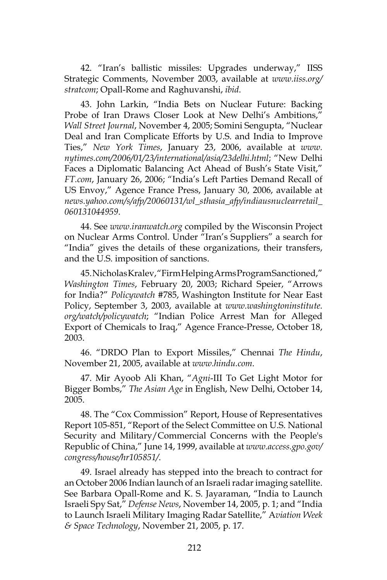42. "Iran's ballistic missiles: Upgrades underway," IISS Strategic Comments, November 2003, available at *www.iiss.org/ stratcom*; Opall-Rome and Raghuvanshi, *ibid*.

43. John Larkin, "India Bets on Nuclear Future: Backing Probe of Iran Draws Closer Look at New Delhi's Ambitions," *Wall Street Journal*, November 4, 2005; Somini Sengupta, "Nuclear Deal and Iran Complicate Efforts by U.S. and India to Improve Ties," *New York Times*, January 23, 2006, available at *www. nytimes.com/2006/01/23/international/asia/23delhi.html*; "New Delhi Faces a Diplomatic Balancing Act Ahead of Bush's State Visit," *FT.com*, January 26, 2006; "India's Left Parties Demand Recall of US Envoy," Agence France Press, January 30, 2006, available at *news.yahoo.com/s/afp/20060131/wl\_sthasia\_afp/indiausnuclearretail\_ 060131044959*.

44. See *www.iranwatch.org* compiled by the Wisconsin Project on Nuclear Arms Control. Under "Iran's Suppliers" a search for "India" gives the details of these organizations, their transfers, and the U.S. imposition of sanctions.

45. Nicholas Kralev, "Firm Helping Arms Program Sanctioned," *Washington Times*, February 20, 2003; Richard Speier, "Arrows for India?" *Policywatch* #785, Washington Institute for Near East Policy, September 3, 2003, available at *www.washingtoninstitute. org/watch/policywatch*; "Indian Police Arrest Man for Alleged Export of Chemicals to Iraq," Agence France-Presse, October 18, 2003.

46. "DRDO Plan to Export Missiles," Chennai *The Hindu*, November 21, 2005, available at *www.hindu.com*.

47. Mir Ayoob Ali Khan, "*Agni*-III To Get Light Motor for Bigger Bombs," *The Asian Age* in English, New Delhi, October 14, 2005.

48. The "Cox Commission" Report, House of Representatives Report 105-851, "Report of the Select Committee on U.S. National Security and Military/Commercial Concerns with the People's Republic of China," June 14, 1999, available at *www.access.gpo.gov/ congress/house/hr105851/*.

49. Israel already has stepped into the breach to contract for an October 2006 Indian launch of an Israeli radar imaging satellite. See Barbara Opall-Rome and K. S. Jayaraman, "India to Launch Israeli Spy Sat," *Defense News*, November 14, 2005, p. 1; and "India to Launch Israeli Military Imaging Radar Satellite," A*viation Week & Space Technology*, November 21, 2005, p. 17.